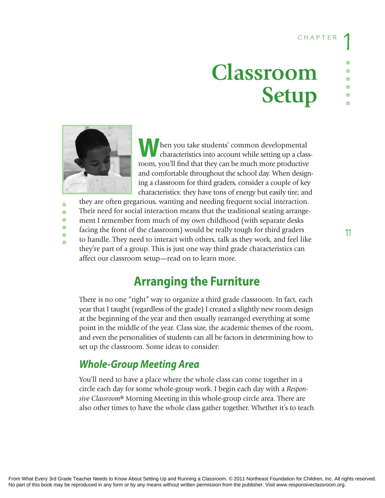# **Classroom Setup**



**......**

◠  $\Box$  $\Box$ 

**W**hen you take students' common developmental characteristics into account while setting up a classroom, you'll find that they can be much more productive and comfortable throughout the school day. When designing a classroom for third graders, consider a couple of key characteristics: they have tons of energy but easily tire; and

they are often gregarious, wanting and needing frequent social interaction. Their need for social interaction means that the traditional seating arrangement I remember from much of my own childhood (with separate desks facing the front of the classroom) would be really tough for third graders to handle. They need to interact with others, talk as they work, and feel like they're part of a group. This is just one way third grade characteristics can affect our classroom setup—read on to learn more.

# **Arranging the Furniture**

There is no one "right" way to organize a third grade classroom. In fact, each year that I taught (regardless of the grade) I created a slightly new room design at the beginning of the year and then usually rearranged everything at some point in the middle of the year. Class size, the academic themes of the room, and even the personalities of students can all be factors in determining how to set up the classroom. Some ideas to consider:

## *Whole-Group Meeting Area*

You'll need to have a place where the whole class can come together in a circle each day for some whole-group work. I begin each day with a *Responsive Classroom*® Morning Meeting in this whole-group circle area. There are also other times to have the whole class gather together. Whether it's to teach **......**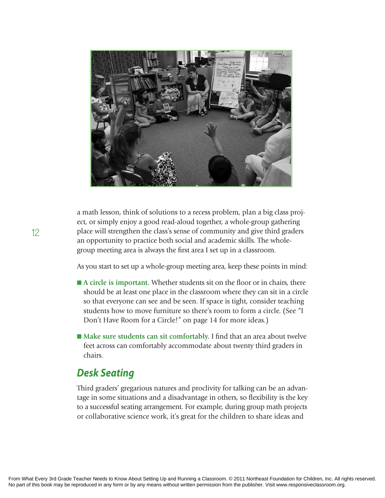

a math lesson, think of solutions to a recess problem, plan a big class project, or simply enjoy a good read-aloud together, a whole-group gathering place will strengthen the class's sense of community and give third graders an opportunity to practice both social and academic skills. The wholegroup meeting area is always the first area I set up in a classroom.

As you start to set up a whole-group meeting area, keep these points in mind:

- A circle is important. Whether students sit on the floor or in chairs, there should be at least one place in the classroom where they can sit in a circle so that everyone can see and be seen. If space is tight, consider teaching students how to move furniture so there's room to form a circle. (See "I Don't Have Room for a Circle!" on page 14 for more ideas.)
- Make sure students can sit comfortably. I find that an area about twelve feet across can comfortably accommodate about twenty third graders in chairs.

### *Desk Seating*

Third graders' gregarious natures and proclivity for talking can be an advantage in some situations and a disadvantage in others, so flexibility is the key to a successful seating arrangement. For example, during group math projects or collaborative science work, it's great for the children to share ideas and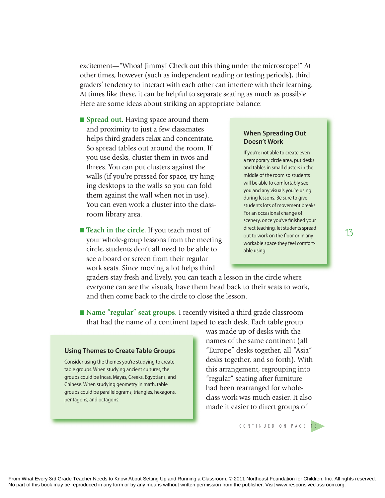excitement—"Whoa! Jimmy! Check out this thing under the microscope!" At other times, however (such as independent reading or testing periods), third graders' tendency to interact with each other can interfere with their learning. At times like these, it can be helpful to separate seating as much as possible. Here are some ideas about striking an appropriate balance:

- **n** Spread out. Having space around them and proximity to just a few classmates helps third graders relax and concentrate. So spread tables out around the room. If you use desks, cluster them in twos and threes. You can put clusters against the walls (if you're pressed for space, try hinging desktops to the walls so you can fold them against the wall when not in use). You can even work a cluster into the classroom library area.
- **Teach in the circle.** If you teach most of your whole-group lessons from the meeting circle, students don't all need to be able to see a board or screen from their regular work seats. Since moving a lot helps third

#### **When Spreading Out doesn't Work**

If you're not able to create even a temporary circle area, put desks and tables in small clusters in the middle of the room so students will be able to comfortably see you and any visuals you're using during lessons. Be sure to give students lots of movement breaks. For an occasional change of scenery, once you've finished your direct teaching, let students spread out to work on the floor or in any workable space they feel comfortable using.

graders stay fresh and lively, you can teach a lesson in the circle where everyone can see the visuals, have them head back to their seats to work, and then come back to the circle to close the lesson.

■ Name "regular" seat groups. I recently visited a third grade classroom that had the name of a continent taped to each desk. Each table group

#### **Using Themes to Create Table Groups**

Consider using the themes you're studying to create table groups. When studying ancient cultures, the groups could be Incas, Mayas, Greeks, Egyptians, and Chinese. When studying geometry in math, table groups could be parallelograms, triangles, hexagons, pentagons, and octagons.

was made up of desks with the names of the same continent (all "Europe" desks together, all "Asia" desks together, and so forth). With this arrangement, regrouping into "regular" seating after furniture had been rearranged for wholeclass work was much easier. It also made it easier to direct groups of

s C O N T I N U E D O N P A G E 1 6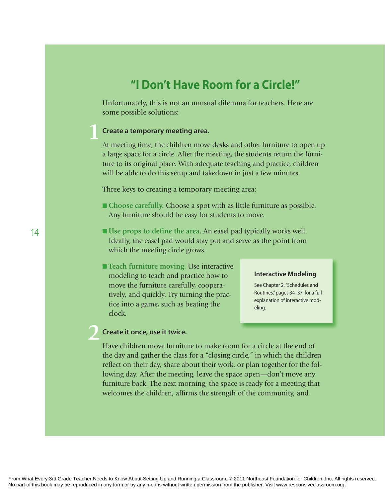# **"i don't have Room for a Circle!"**

Unfortunately, this is not an unusual dilemma for teachers. Here are some possible solutions:

### **Create a temporary meeting area. 1**

At meeting time, the children move desks and other furniture to open up a large space for a circle. After the meeting, the students return the furniture to its original place. With adequate teaching and practice, children will be able to do this setup and takedown in just a few minutes.

Three keys to creating a temporary meeting area:

- Choose carefully. Choose a spot with as little furniture as possible. Any furniture should be easy for students to move.
- Use props to define the area. An easel pad typically works well. Ideally, the easel pad would stay put and serve as the point from which the meeting circle grows.
- Teach furniture moving. Use interactive modeling to teach and practice how to move the furniture carefully, cooperatively, and quickly. Try turning the practice into a game, such as beating the clock.

#### **Interactive Modeling**

See Chapter 2, "Schedules and Routines," pages 34-37, for a full explanation of interactive modeling.

### **Create it once, use it twice. 2**

Have children move furniture to make room for a circle at the end of the day and gather the class for a "closing circle," in which the children reflect on their day, share about their work, or plan together for the following day. After the meeting, leave the space open—don't move any furniture back. The next morning, the space is ready for a meeting that welcomes the children, affirms the strength of the community, and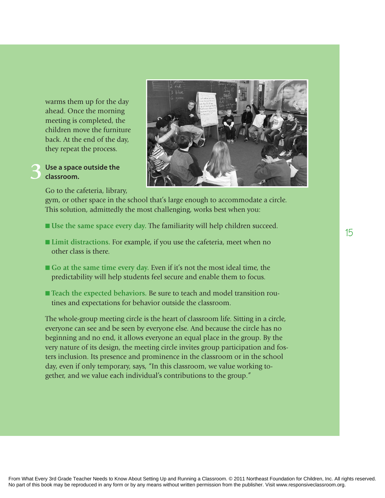warms them up for the day ahead. Once the morning meeting is completed, the children move the furniture back. At the end of the day, they repeat the process.

#### **Use a space outside the classroom. 3**

Go to the cafeteria, library,

gym, or other space in the school that's large enough to accommodate a circle. This solution, admittedly the most challenging, works best when you:

- n **Use the same space every day.** The familiarity will help children succeed.
- Limit distractions. For example, if you use the cafeteria, meet when no other class is there.
- Go at the same time every day. Even if it's not the most ideal time, the predictability will help students feel secure and enable them to focus.
- Teach the expected behaviors. Be sure to teach and model transition routines and expectations for behavior outside the classroom.

The whole-group meeting circle is the heart of classroom life. Sitting in a circle, everyone can see and be seen by everyone else. And because the circle has no beginning and no end, it allows everyone an equal place in the group. By the very nature of its design, the meeting circle invites group participation and fosters inclusion. Its presence and prominence in the classroom or in the school day, even if only temporary, says, "In this classroom, we value working together, and we value each individual's contributions to the group."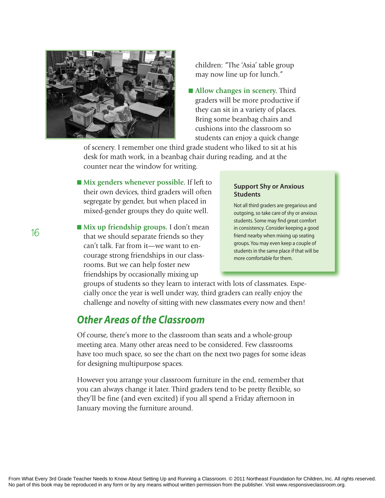

children: "The 'Asia' table group may now line up for lunch."

■ Allow changes in scenery. Third graders will be more productive if they can sit in a variety of places. Bring some beanbag chairs and cushions into the classroom so students can enjoy a quick change

of scenery. I remember one third grade student who liked to sit at his desk for math work, in a beanbag chair during reading, and at the counter near the window for writing.

- Mix genders whenever possible. If left to their own devices, third graders will often segregate by gender, but when placed in mixed-gender groups they do quite well.
- Mix up friendship groups. I don't mean that we should separate friends so they can't talk. Far from it—we want to encourage strong friendships in our classrooms. But we can help foster new friendships by occasionally mixing up

#### **Support Shy or Anxious Students**

Not all third graders are gregarious and outgoing, so take care of shy or anxious students. Some may find great comfort in consistency. Consider keeping a good friend nearby when mixing up seating groups. You may even keep a couple of students in the same place if that will be more comfortable for them.

groups of students so they learn to interact with lots of classmates. Especially once the year is well under way, third graders can really enjoy the challenge and novelty of sitting with new classmates every now and then!

## *Other Areas of the Classroom*

Of course, there's more to the classroom than seats and a whole-group meeting area. Many other areas need to be considered. Few classrooms have too much space, so see the chart on the next two pages for some ideas for designing multipurpose spaces.

However you arrange your classroom furniture in the end, remember that you can always change it later. Third graders tend to be pretty flexible, so they'll be fine (and even excited) if you all spend a Friday afternoon in January moving the furniture around.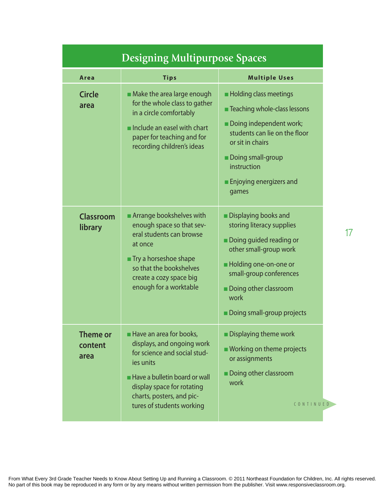| <b>Designing Multipurpose Spaces</b> |                                                                                                                                                                                                                                    |                                                                                                                                                                                                                                     |  |  |  |
|--------------------------------------|------------------------------------------------------------------------------------------------------------------------------------------------------------------------------------------------------------------------------------|-------------------------------------------------------------------------------------------------------------------------------------------------------------------------------------------------------------------------------------|--|--|--|
| Area                                 | <b>Tips</b>                                                                                                                                                                                                                        | <b>Multiple Uses</b>                                                                                                                                                                                                                |  |  |  |
| <b>Circle</b><br>area                | • Make the area large enough<br>for the whole class to gather<br>in a circle comfortably<br>Include an easel with chart<br>paper for teaching and for<br>recording children's ideas                                                | <b>Holding class meetings</b><br><b>Teaching whole-class lessons</b><br>Doing independent work;<br>students can lie on the floor<br>or sit in chairs<br>Doing small-group<br>instruction<br><b>Enjoying energizers and</b><br>games |  |  |  |
| Classroom<br>library                 | Arrange bookshelves with<br>enough space so that sev-<br>eral students can browse<br>at once<br>Try a horseshoe shape<br>so that the bookshelves<br>create a cozy space big<br>enough for a worktable                              | Displaying books and<br>storing literacy supplies<br>Doing guided reading or<br>other small-group work<br><b>Holding one-on-one or</b><br>small-group conferences<br>Doing other classroom<br>work<br>Doing small-group projects    |  |  |  |
| Theme or<br>content<br>area          | Have an area for books,<br>displays, and ongoing work<br>for science and social stud-<br>ies units<br><b>Have a bulletin board or wall</b><br>display space for rotating<br>charts, posters, and pic-<br>tures of students working | <b>Displaying theme work</b><br>■ Working on theme projects<br>or assignments<br>Doing other classroom<br>work<br>CONTINUED                                                                                                         |  |  |  |

**17**

From What Every 3rd Grade Teacher Needs to Know About Setting Up and Running a Classroom. © 2011 Northeast Foundation for Children, Inc. All rights reserved. No part of this book may be reproduced in any form or by any means without written permission from the publisher. Visit www.responsiveclassroom.org.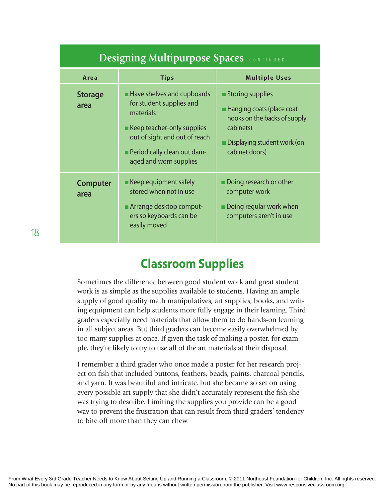| <b>Designing Multipurpose Spaces</b> CONTINUED |                                                                                                                                                                                                           |                                                                                                                                                    |  |  |  |  |
|------------------------------------------------|-----------------------------------------------------------------------------------------------------------------------------------------------------------------------------------------------------------|----------------------------------------------------------------------------------------------------------------------------------------------------|--|--|--|--|
| Area                                           | <b>Tips</b>                                                                                                                                                                                               | <b>Multiple Uses</b>                                                                                                                               |  |  |  |  |
| <b>Storage</b><br>area                         | Have shelves and cupboards<br>for student supplies and<br>materials<br><b>Keep teacher-only supplies</b><br>out of sight and out of reach<br><b>Periodically clean out dam-</b><br>aged and worn supplies | Storing supplies<br><b>Hanging coats (place coat</b><br>hooks on the backs of supply<br>cabinets)<br>Displaying student work (on<br>cabinet doors) |  |  |  |  |
| <b>Computer</b><br>area                        | Keep equipment safely<br>stored when not in use<br>Arrange desktop comput-<br>ers so keyboards can be<br>easily moved                                                                                     | Doing research or other<br>computer work<br>$\blacksquare$ Doing regular work when<br>computers aren't in use                                      |  |  |  |  |

# **Classroom Supplies**

Sometimes the difference between good student work and great student work is as simple as the supplies available to students. Having an ample supply of good quality math manipulatives, art supplies, books, and writing equipment can help students more fully engage in their learning. Third graders especially need materials that allow them to do hands-on learning in all subject areas. But third graders can become easily overwhelmed by too many supplies at once. If given the task of making a poster, for example, they're likely to try to use all of the art materials at their disposal.

I remember a third grader who once made a poster for her research project on fish that included buttons, feathers, beads, paints, charcoal pencils, and yarn. It was beautiful and intricate, but she became so set on using every possible art supply that she didn't accurately represent the fish she was trying to describe. Limiting the supplies you provide can be a good way to prevent the frustration that can result from third graders' tendency to bite off more than they can chew.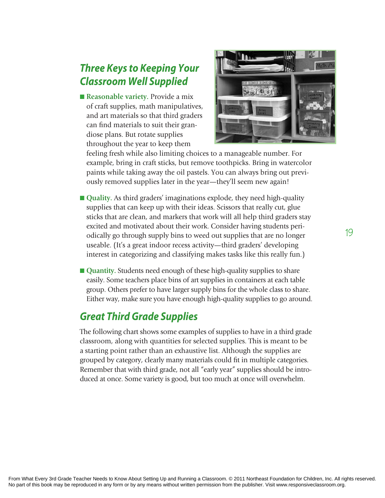# *Three Keys to Keeping Your Classroom Well Supplied*

■ Reasonable variety. Provide a mix of craft supplies, math manipulatives, and art materials so that third graders can find materials to suit their grandiose plans. But rotate supplies throughout the year to keep them



feeling fresh while also limiting choices to a manageable number. For example, bring in craft sticks, but remove toothpicks. Bring in watercolor paints while taking away the oil pastels. You can always bring out previously removed supplies later in the year—they'll seem new again!

- Quality. As third graders' imaginations explode, they need high-quality supplies that can keep up with their ideas. Scissors that really cut, glue sticks that are clean, and markers that work will all help third graders stay excited and motivated about their work. Consider having students periodically go through supply bins to weed out supplies that are no longer useable. (It's a great indoor recess activity—third graders' developing interest in categorizing and classifying makes tasks like this really fun.)
- Quantity. Students need enough of these high-quality supplies to share easily. Some teachers place bins of art supplies in containers at each table group. Others prefer to have larger supply bins for the whole class to share. Either way, make sure you have enough high-quality supplies to go around.

## *Great Third Grade Supplies*

The following chart shows some examples of supplies to have in a third grade classroom, along with quantities for selected supplies. This is meant to be a starting point rather than an exhaustive list. Although the supplies are grouped by category, clearly many materials could fit in multiple categories. Remember that with third grade, not all "early year" supplies should be introduced at once. Some variety is good, but too much at once will overwhelm.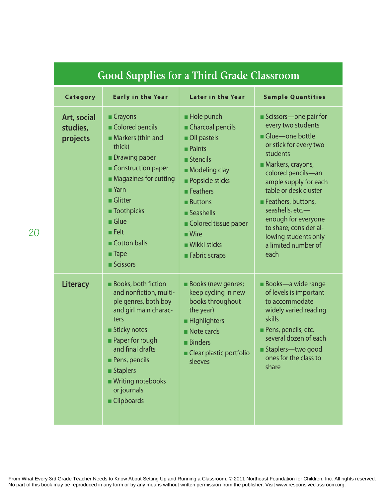| Good Supplies for a Third Grade Classroom |                                                                                                                                                                                                                                                                                                     |                                                                                                                                                                                                                                                                                                              |                                                                                                                                                                                                                                                                                                                                                     |  |  |
|-------------------------------------------|-----------------------------------------------------------------------------------------------------------------------------------------------------------------------------------------------------------------------------------------------------------------------------------------------------|--------------------------------------------------------------------------------------------------------------------------------------------------------------------------------------------------------------------------------------------------------------------------------------------------------------|-----------------------------------------------------------------------------------------------------------------------------------------------------------------------------------------------------------------------------------------------------------------------------------------------------------------------------------------------------|--|--|
| <b>Category</b>                           | <b>Early in the Year</b>                                                                                                                                                                                                                                                                            | <b>Later in the Year</b>                                                                                                                                                                                                                                                                                     | <b>Sample Quantities</b>                                                                                                                                                                                                                                                                                                                            |  |  |
| Art, social<br>studies,<br>projects       | ■ Crayons<br>Colored pencils<br>Markers (thin and<br>thick)<br><b>Drawing paper</b><br>Construction paper<br>• Magazines for cutting<br>$\blacksquare$ Yarn<br>$\blacksquare$ Glitter<br><b>Toothpicks</b><br>Glue<br>$\blacksquare$ Felt<br>Cotton balls<br>$\blacksquare$ Tape<br><b>Scissors</b> | Hole punch<br>Charcoal pencils<br>Oil pastels<br>$\blacksquare$ Paints<br>$\blacksquare$ Stencils<br>Modeling clay<br><b>Popsicle sticks</b><br>$\blacksquare$ Feathers<br><b>Buttons</b><br>Seashells<br>Colored tissue paper<br>$\blacksquare$ Wire<br>$\blacksquare$ Wikki sticks<br><b>Fabric scraps</b> | Scissors-one pair for<br>every two students<br>Glue-one bottle<br>or stick for every two<br>students<br>Markers, crayons,<br>colored pencils-an<br>ample supply for each<br>table or desk cluster<br>Feathers, buttons,<br>seashells, etc.-<br>enough for everyone<br>to share; consider al-<br>lowing students only<br>a limited number of<br>each |  |  |
| <b>Literacy</b>                           | <b>Books, both fiction</b><br>and nonfiction, multi-<br>ple genres, both boy<br>and girl main charac-<br>ters<br><b>Sticky notes</b><br><b>Paper for rough</b><br>and final drafts<br>Pens, pencils<br><b>Staplers</b><br>■ Writing notebooks<br>or journals<br>Clipboards                          | <b>Books (new genres;</b><br>keep cycling in new<br>books throughout<br>the year)<br><b>Highlighters</b><br>Note cards<br><b>Binders</b><br>Clear plastic portfolio<br>sleeves                                                                                                                               | <b>Books-a wide range</b><br>of levels is important<br>to accommodate<br>widely varied reading<br>skills<br><b>Pens, pencils, etc.</b> —<br>several dozen of each<br>■ Staplers—two good<br>ones for the class to<br>share                                                                                                                          |  |  |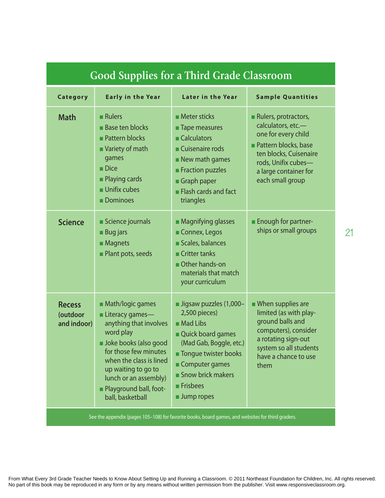| GOOD Supplies for a Third Graue Classroom                                                         |                                                                                                                                                                                                                                                                     |                                                                                                                                                                                                                                          |                                                                                                                                                                                         |  |  |
|---------------------------------------------------------------------------------------------------|---------------------------------------------------------------------------------------------------------------------------------------------------------------------------------------------------------------------------------------------------------------------|------------------------------------------------------------------------------------------------------------------------------------------------------------------------------------------------------------------------------------------|-----------------------------------------------------------------------------------------------------------------------------------------------------------------------------------------|--|--|
| Category                                                                                          | <b>Early in the Year</b>                                                                                                                                                                                                                                            | <b>Later in the Year</b>                                                                                                                                                                                                                 | <b>Sample Quantities</b>                                                                                                                                                                |  |  |
| <b>Math</b>                                                                                       | $\blacksquare$ Rulers<br><b>Base ten blocks</b><br><b>Pattern blocks</b><br>Variety of math<br>games<br>$\blacksquare$ Dice<br><b>Playing cards</b><br>$\blacksquare$ Unifix cubes<br><b>Dominoes</b>                                                               | $\blacksquare$ Meter sticks<br><b>Tape measures</b><br>Calculators<br>Cuisenaire rods<br>New math games<br>Fraction puzzles<br>Graph paper<br>Flash cards and fact<br>triangles                                                          | Rulers, protractors,<br>calculators, etc.-<br>one for every child<br>Pattern blocks, base<br>ten blocks, Cuisenaire<br>rods, Unifix cubes-<br>a large container for<br>each small group |  |  |
| <b>Science</b>                                                                                    | Science journals<br><b>Bug jars</b><br><b>Magnets</b><br>Plant pots, seeds                                                                                                                                                                                          | • Magnifying glasses<br>Connex, Legos<br>Scales, balances<br>$\blacksquare$ Critter tanks<br>Other hands-on<br>materials that match<br>your curriculum                                                                                   | <b>Enough for partner-</b><br>ships or small groups                                                                                                                                     |  |  |
| <b>Recess</b><br>(outdoor<br>and indoor)                                                          | <b>Math/logic games</b><br><b>Literacy games—</b><br>anything that involves<br>word play<br>Joke books (also good<br>for those few minutes<br>when the class is lined<br>up waiting to go to<br>lunch or an assembly)<br>Playground ball, foot-<br>ball, basketball | $\blacksquare$ Jigsaw puzzles (1,000-<br>2,500 pieces)<br>$\blacksquare$ Mad Libs<br>Quick board games<br>(Mad Gab, Boggle, etc.)<br><b>Tongue twister books</b><br>Computer games<br>Snow brick makers<br><b>Frisbees</b><br>Jump ropes | <b>N</b> hen supplies are<br>limited (as with play-<br>ground balls and<br>computers), consider<br>a rotating sign-out<br>system so all students<br>have a chance to use<br>them        |  |  |
| See the appendix (pages 105-108) for favorite books, board games, and websites for third graders. |                                                                                                                                                                                                                                                                     |                                                                                                                                                                                                                                          |                                                                                                                                                                                         |  |  |

**21**

# **Good Supplies for a Third Grade Classroom**

From What Every 3rd Grade Teacher Needs to Know About Setting Up and Running a Classroom. © 2011 Northeast Foundation for Children, Inc. All rights reserved. No part of this book may be reproduced in any form or by any means without written permission from the publisher. Visit www.responsiveclassroom.org.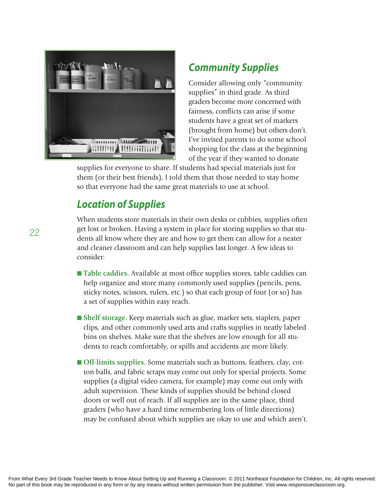

### *Community Supplies*

Consider allowing only "community supplies" in third grade. As third graders become more concerned with fairness, conflicts can arise if some students have a great set of markers (brought from home) but others don't. I've invited parents to do some school shopping for the class at the beginning of the year if they wanted to donate

supplies for everyone to share. If students had special materials just for them (or their best friends), I told them that those needed to stay home so that everyone had the same great materials to use at school.

# *Location of Supplies*

When students store materials in their own desks or cubbies, supplies often get lost or broken. Having a system in place for storing supplies so that students all know where they are and how to get them can allow for a neater and cleaner classroom and can help supplies last longer. A few ideas to consider:

- Table caddies. Available at most office supplies stores, table caddies can help organize and store many commonly used supplies (pencils, pens, sticky notes, scissors, rulers, etc.) so that each group of four (or so) has a set of supplies within easy reach.
- n **Shelf storage.** Keep materials such as glue, marker sets, staplers, paper clips, and other commonly used arts and crafts supplies in neatly labeled bins on shelves. Make sure that the shelves are low enough for all students to reach comfortably, or spills and accidents are more likely.
- Off-limits supplies. Some materials such as buttons, feathers, clay, cotton balls, and fabric scraps may come out only for special projects. Some supplies (a digital video camera, for example) may come out only with adult supervision. These kinds of supplies should be behind closed doors or well out of reach. If all supplies are in the same place, third graders (who have a hard time remembering lots of little directions) may be confused about which supplies are okay to use and which aren't.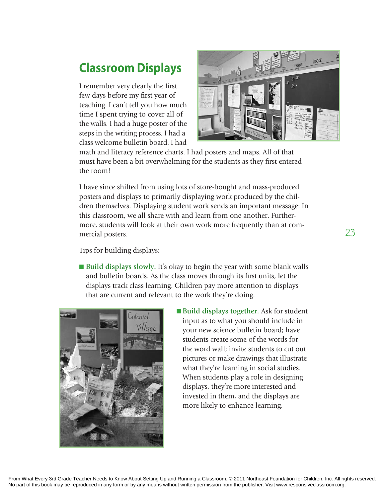# **Classroom displays**

I remember very clearly the first few days before my first year of teaching. I can't tell you how much time I spent trying to cover all of the walls. I had a huge poster of the steps in the writing process. I had a class welcome bulletin board. I had



math and literacy reference charts. I had posters and maps. All of that must have been a bit overwhelming for the students as they first entered the room!

I have since shifted from using lots of store-bought and mass-produced posters and displays to primarily displaying work produced by the children themselves. Displaying student work sends an important message: In this classroom, we all share with and learn from one another. Furthermore, students will look at their own work more frequently than at commercial posters.

Tips for building displays:

■ **Build displays slowly.** It's okay to begin the year with some blank walls and bulletin boards. As the class moves through its first units, let the displays track class learning. Children pay more attention to displays that are current and relevant to the work they're doing.



■ **Build displays together.** Ask for student input as to what you should include in your new science bulletin board; have students create some of the words for the word wall; invite students to cut out pictures or make drawings that illustrate what they're learning in social studies. When students play a role in designing displays, they're more interested and invested in them, and the displays are more likely to enhance learning.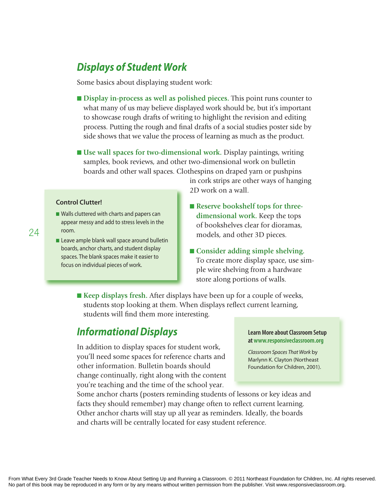# *Displays of Student Work*

Some basics about displaying student work:

- n **Display in-process as well as polished pieces.** This point runs counter to what many of us may believe displayed work should be, but it's important to showcase rough drafts of writing to highlight the revision and editing process. Putting the rough and final drafts of a social studies poster side by side shows that we value the process of learning as much as the product.
- Use wall spaces for two-dimensional work. Display paintings, writing samples, book reviews, and other two-dimensional work on bulletin boards and other wall spaces. Clothespins on draped yarn or pushpins

**Control Clutter!**

- $\blacksquare$  Walls cluttered with charts and papers can appear messy and add to stress levels in the room.
- $\blacksquare$  Leave ample blank wall space around bulletin boards, anchor charts, and student display spaces. The blank spaces make it easier to focus on individual pieces of work.

in cork strips are other ways of hanging 2D work on a wall.

- **Exercise Bookshelf tops for threedimensional work.** Keep the tops of bookshelves clear for dioramas, models, and other 3D pieces.
- Consider adding simple shelving. To create more display space, use simple wire shelving from a hardware store along portions of walls.
- Keep displays fresh. After displays have been up for a couple of weeks, students stop looking at them. When displays reflect current learning, students will find them more interesting.

#### *Informational Displays*

In addition to display spaces for student work, you'll need some spaces for reference charts and other information. Bulletin boards should change continually, right along with the content you're teaching and the time of the school year.

#### **Learn More about Classroom Setup at www.responsiveclassroom.org**

Classroom Spaces That Work by Marlynn K. Clayton (Northeast Foundation for Children, 2001).

Some anchor charts (posters reminding students of lessons or key ideas and facts they should remember) may change often to reflect current learning. Other anchor charts will stay up all year as reminders. Ideally, the boards and charts will be centrally located for easy student reference.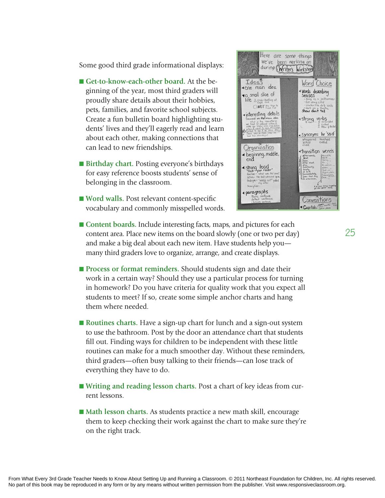Some good third grade informational displays:

- Get-to-know-each-other board. At the beginning of the year, most third graders will proudly share details about their hobbies, pets, families, and favorite school subjects. Create a fun bulletin board highlighting students' lives and they'll eagerly read and learn about each other, making connections that can lead to new friendships.
- Birthday chart. Posting everyone's birthdays for easy reference boosts students' sense of belonging in the classroom.
- Word walls. Post relevant content-specific vocabulary and commonly misspelled words.



- Content boards. Include interesting facts, maps, and pictures for each content area. Place new items on the board slowly (one or two per day) and make a big deal about each new item. Have students help you many third graders love to organize, arrange, and create displays.
- **n Process or format reminders.** Should students sign and date their work in a certain way? Should they use a particular process for turning in homework? Do you have criteria for quality work that you expect all students to meet? If so, create some simple anchor charts and hang them where needed.
- **Routines charts.** Have a sign-up chart for lunch and a sign-out system to use the bathroom. Post by the door an attendance chart that students fill out. Finding ways for children to be independent with these little routines can make for a much smoother day. Without these reminders, third graders—often busy talking to their friends—can lose track of everything they have to do.
- Writing and reading lesson charts. Post a chart of key ideas from current lessons.
- Math lesson charts. As students practice a new math skill, encourage them to keep checking their work against the chart to make sure they're on the right track.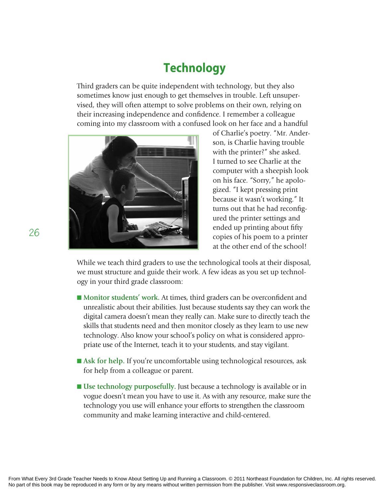# **Technology**

Third graders can be quite independent with technology, but they also sometimes know just enough to get themselves in trouble. Left unsupervised, they will often attempt to solve problems on their own, relying on their increasing independence and confidence. I remember a colleague coming into my classroom with a confused look on her face and a handful



of Charlie's poetry. "Mr. Anderson, is Charlie having trouble with the printer?" she asked. I turned to see Charlie at the computer with a sheepish look on his face. "Sorry," he apologized. "I kept pressing print because it wasn't working." It turns out that he had reconfigured the printer settings and ended up printing about fifty copies of his poem to a printer at the other end of the school!

While we teach third graders to use the technological tools at their disposal, we must structure and guide their work. A few ideas as you set up technology in your third grade classroom:

- Monitor students' work. At times, third graders can be overconfident and unrealistic about their abilities. Just because students say they can work the digital camera doesn't mean they really can. Make sure to directly teach the skills that students need and then monitor closely as they learn to use new technology. Also know your school's policy on what is considered appropriate use of the Internet, teach it to your students, and stay vigilant.
- Ask for help. If you're uncomfortable using technological resources, ask for help from a colleague or parent.
- Use technology purposefully. Just because a technology is available or in vogue doesn't mean you have to use it. As with any resource, make sure the technology you use will enhance your efforts to strengthen the classroom community and make learning interactive and child-centered.